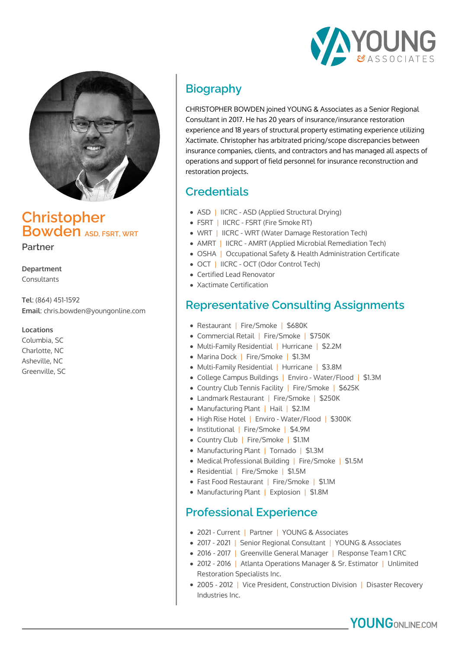



## **Christopher Bowden** ASD ESRT WRT

**Partner**

**Department** Consultants

**Tel**: (864) 451-1592 **Email**: chris.bowden@youngonline.com

**Locations**

Columbia, SC Charlotte, NC Asheville, NC Greenville, SC

# **Biography**

CHRISTOPHER BOWDEN joined YOUNG & Associates as a Senior Regional Consultant in 2017. He has 20 years of insurance/insurance restoration experience and 18 years of structural property estimating experience utilizing Xactimate. Christopher has arbitrated pricing/scope discrepancies between insurance companies, clients, and contractors and has managed all aspects of operations and support of field personnel for insurance reconstruction and restoration projects.

### **Credentials**

- ASD | IICRC ASD (Applied Structural Drying)
- FSRT | IICRC FSRT (Fire Smoke RT)
- WRT | IICRC WRT (Water Damage Restoration Tech)
- AMRT | IICRC AMRT (Applied Microbial Remediation Tech)
- OSHA | Occupational Safety & Health Administration Certificate
- OCT | IICRC OCT (Odor Control Tech)
- Certified Lead Renovator
- Xactimate Certification

### **Representative Consulting Assignments**

- Restaurant | Fire/Smoke | \$680K
- Commercial Retail | Fire/Smoke | \$750K
- Multi-Family Residential | Hurricane | \$2.2M
- Marina Dock | Fire/Smoke | \$1.3M
- Multi-Family Residential | Hurricane | \$3.8M
- College Campus Buildings | Enviro Water/Flood | \$1.3M
- Country Club Tennis Facility | Fire/Smoke | \$625K
- Landmark Restaurant | Fire/Smoke | \$250K
- Manufacturing Plant | Hail | \$2.1M
- High Rise Hotel | Enviro Water/Flood | \$300K
- Institutional | Fire/Smoke | \$4.9M
- Country Club | Fire/Smoke | \$1.1M
- Manufacturing Plant | Tornado | \$1.3M
- Medical Professional Building | Fire/Smoke | \$1.5M
- Residential | Fire/Smoke | \$1.5M
- Fast Food Restaurant | Fire/Smoke | \$1.1M
- Manufacturing Plant | Explosion | \$1.8M

#### **Professional Experience**

- 2021 Current | Partner | YOUNG & Associates
- 2017 2021 | Senior Regional Consultant | YOUNG & Associates
- 2016 2017 | Greenville General Manager | Response Team 1 CRC
- 2012 2016 | Atlanta Operations Manager & Sr. Estimator | Unlimited Restoration Specialists Inc.
- 2005 2012 | Vice President, Construction Division | Disaster Recovery Industries Inc.